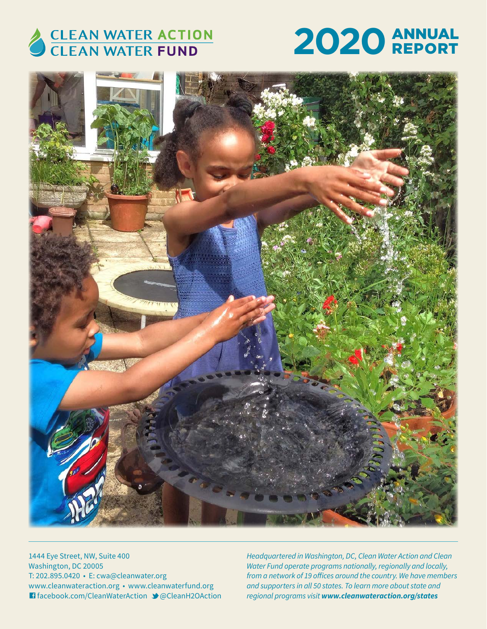

# **2020** ANNUAL REPORT



1444 Eye Street, NW, Suite 400 Washington, DC 20005 T: 202.895.0420 • E: cwa@cleanwater.org www.cleanwateraction.org • www.cleanwaterfund.org G facebook.com/CleanWaterAction M@CleanH2OAction *Headquartered in Washington, DC, Clean Water Action and Clean Water Fund operate programs nationally, regionally and locally, from a network of 19 offices around the country. We have members and supporters in all 50 states. To learn more about state and regional programs visit www.cleanwateraction.org/states*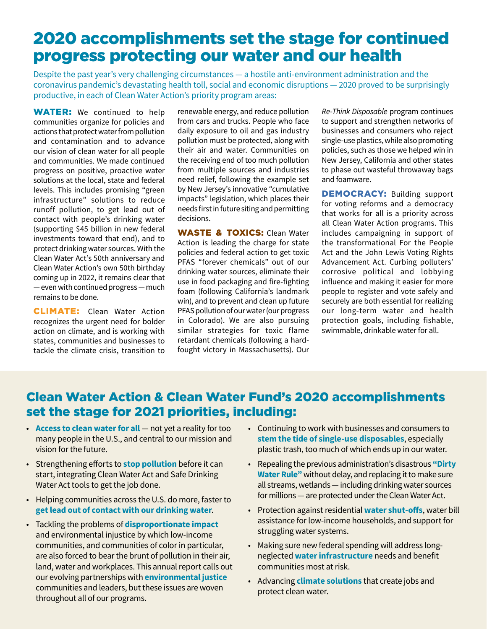## 2020 accomplishments set the stage for continued progress protecting our water and our health

Despite the past year's very challenging circumstances — a hostile anti-environment administration and the coronavirus pandemic's devastating health toll, social and economic disruptions — 2020 proved to be surprisingly productive, in each of Clean Water Action's priority program areas:

**WATER:** We continued to help communities organize for policies and actions that protect water from pollution and contamination and to advance our vision of clean water for all people and communities. We made continued progress on positive, proactive water solutions at the local, state and federal levels. This includes promising "green infrastructure" solutions to reduce runoff pollution, to get lead out of contact with people's drinking water (supporting \$45 billion in new federal investments toward that end), and to protect drinking water sources. With the Clean Water Act's 50th anniversary and Clean Water Action's own 50th birthday coming up in 2022, it remains clear that — even with continued progress — much remains to be done.

**CLIMATE:** Clean Water Action recognizes the urgent need for bolder action on climate, and is working with states, communities and businesses to tackle the climate crisis, transition to renewable energy, and reduce pollution from cars and trucks. People who face daily exposure to oil and gas industry pollution must be protected, along with their air and water. Communities on the receiving end of too much pollution from multiple sources and industries need relief, following the example set by New Jersey's innovative "cumulative impacts" legislation, which places their needs first in future siting and permitting decisions.

WASTE & TOXICS: Clean Water Action is leading the charge for state policies and federal action to get toxic PFAS "forever chemicals" out of our drinking water sources, eliminate their use in food packaging and fire-fighting foam (following California's landmark win), and to prevent and clean up future PFAS pollution of our water (our progress in Colorado). We are also pursuing similar strategies for toxic flame retardant chemicals (following a hardfought victory in Massachusetts). Our

*Re-Think Disposable* program continues to support and strengthen networks of businesses and consumers who reject single-use plastics, while also promoting policies, such as those we helped win in New Jersey, California and other states to phase out wasteful throwaway bags and foamware.

DEMOCRACY: Building support for voting reforms and a democracy that works for all is a priority across all Clean Water Action programs. This includes campaigning in support of the transformational For the People Act and the John Lewis Voting Rights Advancement Act. Curbing polluters' corrosive political and lobbying influence and making it easier for more people to register and vote safely and securely are both essential for realizing our long-term water and health protection goals, including fishable, swimmable, drinkable water for all.

## Clean Water Action & Clean Water Fund's 2020 accomplishments set the stage for 2021 priorities, including:

- **Access to clean water for all** not yet a reality for too many people in the U.S., and central to our mission and vision for the future.
- Strengthening efforts to **stop pollution** before it can start, integrating Clean Water Act and Safe Drinking Water Act tools to get the job done.
- Helping communities across the U.S. do more, faster to **get lead out of contact with our drinking water**.
- Tackling the problems of **disproportionate impact** and environmental injustice by which low-income communities, and communities of color in particular, are also forced to bear the brunt of pollution in their air, land, water and workplaces. This annual report calls out our evolving partnerships with **environmental justice** communities and leaders, but these issues are woven throughout all of our programs.
- Continuing to work with businesses and consumers to **stem the tide of single-use disposables**, especially plastic trash, too much of which ends up in our water.
- Repealing the previous administration's disastrous **"Dirty Water Rule"** without delay, and replacing it to make sure all streams, wetlands — including drinking water sources for millions — are protected under the Clean Water Act.
- Protection against residential **water shut-offs**, water bill assistance for low-income households, and support for struggling water systems.
- Making sure new federal spending will address longneglected **water infrastructure** needs and benefit communities most at risk.
- Advancing **climate solutions** that create jobs and protect clean water.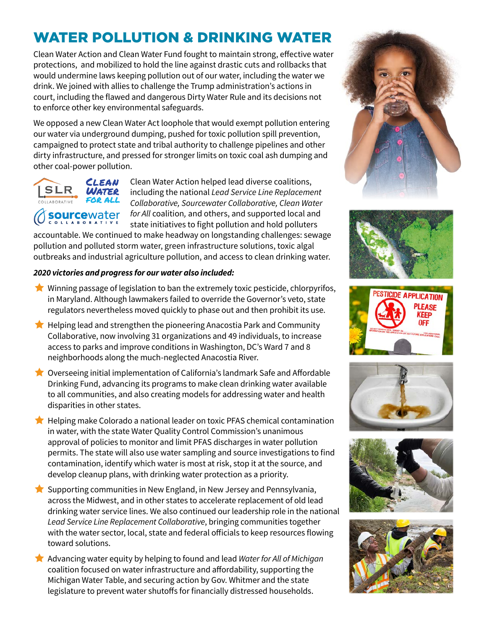## WATER POLLUTION & DRINKING WATER

Clean Water Action and Clean Water Fund fought to maintain strong, effective water protections, and mobilized to hold the line against drastic cuts and rollbacks that would undermine laws keeping pollution out of our water, including the water we drink. We joined with allies to challenge the Trump administration's actions in court, including the flawed and dangerous Dirty Water Rule and its decisions not to enforce other key environmental safeguards.

We opposed a new Clean Water Act loophole that would exempt pollution entering our water via underground dumping, pushed for toxic pollution spill prevention, campaigned to protect state and tribal authority to challenge pipelines and other dirty infrastructure, and pressed for stronger limits on toxic coal ash dumping and other coal-power pollution.



Clean Water Action helped lead diverse coalitions, including the national *Lead Service Line Replacement Collaborative, Sourcewater Collaborative, Clean Water for All* coalition*,* and others, and supported local and state initiatives to fight pollution and hold polluters

accountable. We continued to make headway on longstanding challenges: sewage pollution and polluted storm water, green infrastructure solutions, toxic algal outbreaks and industrial agriculture pollution, and access to clean drinking water.

#### *2020 victories and progress for our water also included:*

- $\bigstar$  Winning passage of legislation to ban the extremely toxic pesticide, chlorpyrifos, in Maryland. Although lawmakers failed to override the Governor's veto, state regulators nevertheless moved quickly to phase out and then prohibit its use.
- $\bigstar$  Helping lead and strengthen the pioneering Anacostia Park and Community Collaborative, now involving 31 organizations and 49 individuals, to increase access to parks and improve conditions in Washington, DC's Ward 7 and 8 neighborhoods along the much-neglected Anacostia River.
- $\bigstar$  Overseeing initial implementation of California's landmark Safe and Affordable Drinking Fund, advancing its programs to make clean drinking water available to all communities, and also creating models for addressing water and health disparities in other states.
- $\bigstar$  Helping make Colorado a national leader on toxic PFAS chemical contamination in water, with the state Water Quality Control Commission's unanimous approval of policies to monitor and limit PFAS discharges in water pollution permits. The state will also use water sampling and source investigations to find contamination, identify which water is most at risk, stop it at the source, and develop cleanup plans, with drinking water protection as a priority.
- $\bigstar$  Supporting communities in New England, in New Jersey and Pennsylvania, across the Midwest, and in other states to accelerate replacement of old lead drinking water service lines. We also continued our leadership role in the national *Lead Service Line Replacement Collaborative*, bringing communities together with the water sector, local, state and federal officials to keep resources flowing toward solutions.
- Ì Advancing water equity by helping to found and lead *Water for All of Michigan* coalition focused on water infrastructure and affordability, supporting the Michigan Water Table, and securing action by Gov. Whitmer and the state legislature to prevent water shutoffs for financially distressed households.











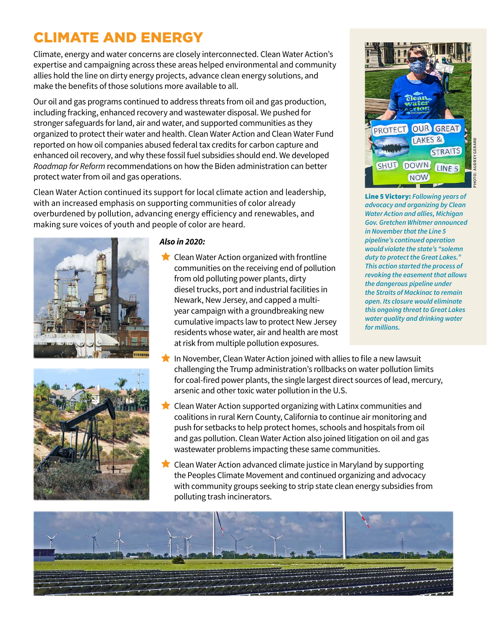## CLIMATE AND ENERGY

Climate, energy and water concerns are closely interconnected. Clean Water Action's expertise and campaigning across these areas helped environmental and community allies hold the line on dirty energy projects, advance clean energy solutions, and make the benefits of those solutions more available to all.

Our oil and gas programs continued to address threats from oil and gas production, including fracking, enhanced recovery and wastewater disposal. We pushed for stronger safeguards for land, air and water, and supported communities as they organized to protect their water and health. Clean Water Action and Clean Water Fund reported on how oil companies abused federal tax credits for carbon capture and enhanced oil recovery, and why these fossil fuel subsidies should end. We developed *Roadmap for Reform* recommendations on how the Biden administration can better protect water from oil and gas operations.

Clean Water Action continued its support for local climate action and leadership, with an increased emphasis on supporting communities of color already overburdened by pollution, advancing energy efficiency and renewables, and making sure voices of youth and people of color are heard.





#### *Also in 2020:*

- $\bigstar$  Clean Water Action organized with frontline communities on the receiving end of pollution from old polluting power plants, dirty diesel trucks, port and industrial facilities in Newark, New Jersey, and capped a multiyear campaign with a groundbreaking new cumulative impacts law to protect New Jersey residents whose water, air and health are most at risk from multiple pollution exposures.
- In November, Clean Water Action joined with allies to file a new lawsuit challenging the Trump administration's rollbacks on water pollution limits for coal-fired power plants, the single largest direct sources of lead, mercury, arsenic and other toxic water pollution in the U.S.
- Clean Water Action supported organizing with Latinx communities and coalitions in rural Kern County, California to continue air monitoring and push for setbacks to help protect homes, schools and hospitals from oil and gas pollution. Clean Water Action also joined litigation on oil and gas wastewater problems impacting these same communities.
- $\bigstar$  Clean Water Action advanced climate justice in Maryland by supporting the Peoples Climate Movement and continued organizing and advocacy with community groups seeking to strip state clean energy subsidies from polluting trash incinerators.



**GREAT** 

**STRAITS** 

LINE<sub>5</sub>

LAKES &

**NOW** 

Line 5 Victory: *Following years of advocacy and organizing by Clean Water Action and allies, Michigan Gov. Gretchen Whitmer announced in November that the Line 5 pipeline's continued operation would violate the state's "solemn duty to protect the Great Lakes." This action started the process of revoking the easement that allows the dangerous pipeline under the Straits of Mackinac to remain open. Its closure would eliminate this ongoing threat to Great Lakes water quality and drinking water for millions.*

**ROTECT** 

SHUT DOWN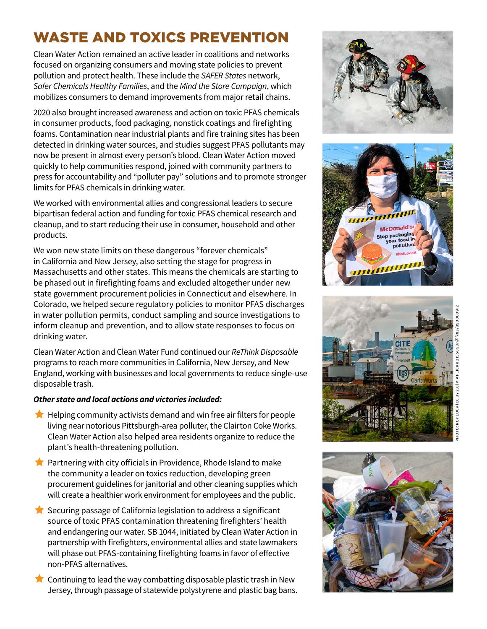## WASTE AND TOXICS PREVENTION

Clean Water Action remained an active leader in coalitions and networks focused on organizing consumers and moving state policies to prevent pollution and protect health. These include the *SAFER States* network, *Safer Chemicals Healthy Families*, and the *Mind the Store Campaign*, which mobilizes consumers to demand improvements from major retail chains.

2020 also brought increased awareness and action on toxic PFAS chemicals in consumer products, food packaging, nonstick coatings and firefighting foams. Contamination near industrial plants and fire training sites has been detected in drinking water sources, and studies suggest PFAS pollutants may now be present in almost every person's blood. Clean Water Action moved quickly to help communities respond, joined with community partners to press for accountability and "polluter pay" solutions and to promote stronger limits for PFAS chemicals in drinking water.

We worked with environmental allies and congressional leaders to secure bipartisan federal action and funding for toxic PFAS chemical research and cleanup, and to start reducing their use in consumer, household and other products.

We won new state limits on these dangerous "forever chemicals" in California and New Jersey, also setting the stage for progress in Massachusetts and other states. This means the chemicals are starting to be phased out in firefighting foams and excluded altogether under new state government procurement policies in Connecticut and elsewhere. In Colorado, we helped secure regulatory policies to monitor PFAS discharges in water pollution permits, conduct sampling and source investigations to inform cleanup and prevention, and to allow state responses to focus on drinking water.

Clean Water Action and Clean Water Fund continued our *ReThink Disposable* programs to reach more communities in California, New Jersey, and New England, working with businesses and local governments to reduce single-use disposable trash.

#### *Other state and local actions and victories included:*

- $\bigstar$  Helping community activists demand and win free air filters for people living near notorious Pittsburgh-area polluter, the Clairton Coke Works. Clean Water Action also helped area residents organize to reduce the plant's health-threatening pollution.
- $\blacktriangleright$  Partnering with city officials in Providence, Rhode Island to make the community a leader on toxics reduction, developing green procurement guidelines for janitorial and other cleaning supplies which will create a healthier work environment for employees and the public.
- $\bigstar$  Securing passage of California legislation to address a significant source of toxic PFAS contamination threatening firefighters' health and endangering our water. SB 1044, initiated by Clean Water Action in partnership with firefighters, environmental allies and state lawmakers will phase out PFAS-containing firefighting foams in favor of effective non-PFAS alternatives.
- $\bigstar$  Continuing to lead the way combatting disposable plastic trash in New Jersey, through passage of statewide polystyrene and plastic bag bans.







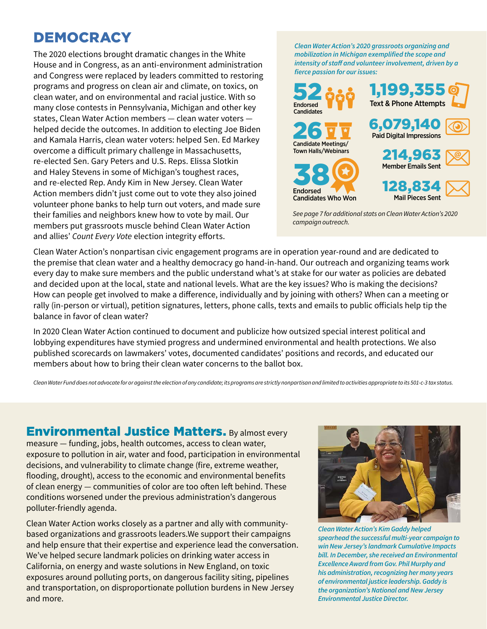## DEMOCRACY

The 2020 elections brought dramatic changes in the White House and in Congress, as an anti-environment administration and Congress were replaced by leaders committed to restoring programs and progress on clean air and climate, on toxics, on clean water, and on environmental and racial justice. With so many close contests in Pennsylvania, Michigan and other key states, Clean Water Action members — clean water voters helped decide the outcomes. In addition to electing Joe Biden and Kamala Harris, clean water voters: helped Sen. Ed Markey overcome a difficult primary challenge in Massachusetts, re-elected Sen. Gary Peters and U.S. Reps. Elissa Slotkin and Haley Stevens in some of Michigan's toughest races, and re-elected Rep. Andy Kim in New Jersey. Clean Water Action members didn't just come out to vote they also joined volunteer phone banks to help turn out voters, and made sure their families and neighbors knew how to vote by mail. Our members put grassroots muscle behind Clean Water Action and allies' *Count Every Vote* election integrity efforts.

*Clean Water Action's 2020 grassroots organizing and mobilization in Michigan exemplified the scope and intensity of staff and volunteer involvement, driven by a fierce passion for our issues:*



*See page 7 for additional stats on Clean Water Action's 2020 campaign outreach.*

Clean Water Action's nonpartisan civic engagement programs are in operation year-round and are dedicated to the premise that clean water and a healthy democracy go hand-in-hand. Our outreach and organizing teams work every day to make sure members and the public understand what's at stake for our water as policies are debated and decided upon at the local, state and national levels. What are the key issues? Who is making the decisions? How can people get involved to make a difference, individually and by joining with others? When can a meeting or rally (in-person or virtual), petition signatures, letters, phone calls, texts and emails to public officials help tip the balance in favor of clean water?

In 2020 Clean Water Action continued to document and publicize how outsized special interest political and lobbying expenditures have stymied progress and undermined environmental and health protections. We also published scorecards on lawmakers' votes, documented candidates' positions and records, and educated our members about how to bring their clean water concerns to the ballot box.

*Clean Water Fund does not advocate for or against the election of any candidate; its programs are strictly nonpartisan and limited to activities appropriate to its 501-c-3 tax status.*

**Environmental Justice Matters. By almost every** measure — funding, jobs, health outcomes, access to clean water, exposure to pollution in air, water and food, participation in environmental decisions, and vulnerability to climate change (fire, extreme weather, flooding, drought), access to the economic and environmental benefits of clean energy — communities of color are too often left behind. These conditions worsened under the previous administration's dangerous polluter-friendly agenda.

Clean Water Action works closely as a partner and ally with communitybased organizations and grassroots leaders.We support their campaigns and help ensure that their expertise and experience lead the conversation. We've helped secure landmark policies on drinking water access in California, on energy and waste solutions in New England, on toxic exposures around polluting ports, on dangerous facility siting, pipelines and transportation, on disproportionate pollution burdens in New Jersey and more.



*Clean Water Action's Kim Gaddy helped spearhead the successful multi-year campaign to win New Jersey's landmark Cumulative Impacts bill. In December, she received an Environmental Excellence Award from Gov. Phil Murphy and his administration, recognizing her many years of environmental justice leadership. Gaddy is the organization's National and New Jersey Environmental Justice Director.*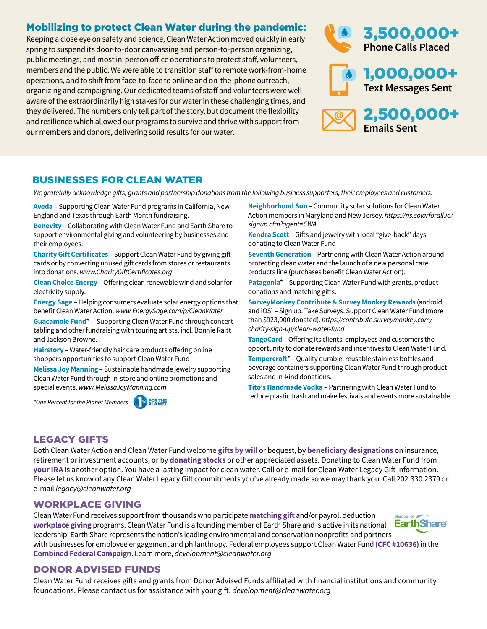#### Mobilizing to protect Clean Water during the pandemic:

Keeping a close eye on safety and science, Clean Water Action moved quickly in early spring to suspend its door-to-door canvassing and person-to-person organizing, public meetings, and most in-person office operations to protect staff, volunteers, members and the public. We were able to transition staff to remote work-from-home operations, and to shift from face-to-face to online and on-the-phone outreach, organizing and campaigning. Our dedicated teams of staff and volunteers were well aware of the extraordinarily high stakes for our water in these challenging times, and they delivered. The numbers only tell part of the story, but document the flexibility and resilience which allowed our programs to survive and thrive with support from our members and donors, delivering solid results for our water.



#### BUSINESSES FOR CLEAN WATER

*We gratefully acknowledge gifts, grants and partnership donations from the following business supporters, their employees and customers:*

**Aveda** – Supporting Clean Water Fund programs in California, New England and Texas through Earth Month fundraising.

**Benevity** – Collaborating with Clean Water Fund and Earth Share to support environmental giving and volunteering by businesses and their employees.

**Charity Gift Certificates** – Support Clean Water Fund by giving gift cards or by converting unused gift cards from stores or restaurants into donations. *www.CharityGiftCertificates.org*

**Clean Choice Energy** – Offering clean renewable wind and solar for electricity supply.

**Energy Sage** – Helping consumers evaluate solar energy options that benefit Clean Water Action. *www.EnergySage.com/p/CleanWater*

**Guacamole Fund**\* – Supporting Clean Water Fund through concert tabling and other fundraising with touring artists, incl. Bonnie Raitt and Jackson Browne.

**Hairstory** – Water-friendly hair care products offering online shoppers opportunities to support Clean Water Fund

**Melissa Joy Manning** – Sustainable handmade jewelry supporting Clean Water Fund through in-store and online promotions and special events. *www.MelissaJoyManning.com*

*\*One Percent for the Planet Members*



**Neighborhood Sun** – Community solar solutions for Clean Water Action members in Maryland and New Jersey. *https://ns.solarforall.io/ signup.cfm?agent=CWA*

**Kendra Scott** – Gifts and jewelry with local "give-back" days donating to Clean Water Fund

**Seventh Generation** – Partnering with Clean Water Action around protecting clean water and the launch of a new personal care products line (purchases benefit Clean Water Action).

**Patagonia**\* – Supporting Clean Water Fund with grants, product donations and matching gifts.

**SurveyMonkey Contribute & Survey Monkey Rewards** (android and iOS) – Sign up. Take Surveys. Support Clean Water Fund (more than \$923,000 donated). *https://contribute.surveymonkey.com/ charity-sign-up/clean-water-fund*

**TangoCard** – Offering its clients' employees and customers the opportunity to donate rewards and incentives to Clean Water Fund.

**Tempercraft**\* – Quality durable, reusable stainless bottles and beverage containers supporting Clean Water Fund through product sales and in-kind donations.

**Tito's Handmade Vodka** – Partnering with Clean Water Fund to reduce plastic trash and make festivals and events more sustainable.

#### LEGACY GIFTS

Both Clean Water Action and Clean Water Fund welcome **gifts by will** or bequest, by **beneficiary designations** on insurance, retirement or investment accounts, or by **donating stocks** or other appreciated assets. Donating to Clean Water Fund from **your IRA** is another option. You have a lasting impact for clean water. Call or e-mail for Clean Water Legacy Gift information. Please let us know of any Clean Water Legacy Gift commitments you've already made so we may thank you. Call 202.330.2379 or e-mail *legacy@cleanwater.org*

#### WORKPLACE GIVING

Clean Water Fund receives support from thousands who participate **matching gift** and/or payroll deduction Member of **EarthShare workplace giving** programs. Clean Water Fund is a founding member of Earth Share and is active in its national leadership. Earth Share represents the nation's leading environmental and conservation nonprofits and partners with businesses for employee engagement and philanthropy. Federal employees support Clean Water Fund **(CFC #10636)** in the **Combined Federal Campaign**. Learn more, *development@cleanwater.org*

#### DONOR ADVISED FUNDS

Clean Water Fund receives gifts and grants from Donor Advised Funds affiliated with financial institutions and community foundations. Please contact us for assistance with your gift, *development@cleanwater.org*